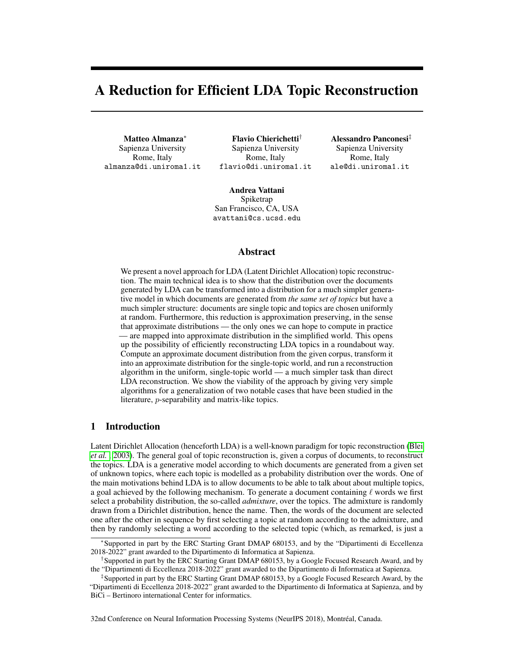# A Reduction for Efficient LDA Topic Reconstruction

Matteo Almanza<sup>∗</sup> Sapienza University Rome, Italy almanza@di.uniroma1.it

Flavio Chierichetti† Sapienza University Rome, Italy flavio@di.uniroma1.it Alessandro Panconesi‡ Sapienza University Rome, Italy ale@di.uniroma1.it

Andrea Vattani Spiketrap San Francisco, CA, USA avattani@cs.ucsd.edu

### Abstract

We present a novel approach for LDA (Latent Dirichlet Allocation) topic reconstruction. The main technical idea is to show that the distribution over the documents generated by LDA can be transformed into a distribution for a much simpler generative model in which documents are generated from *the same set of topics* but have a much simpler structure: documents are single topic and topics are chosen uniformly at random. Furthermore, this reduction is approximation preserving, in the sense that approximate distributions — the only ones we can hope to compute in practice — are mapped into approximate distribution in the simplified world. This opens up the possibility of efficiently reconstructing LDA topics in a roundabout way. Compute an approximate document distribution from the given corpus, transform it into an approximate distribution for the single-topic world, and run a reconstruction algorithm in the uniform, single-topic world — a much simpler task than direct LDA reconstruction. We show the viability of the approach by giving very simple algorithms for a generalization of two notable cases that have been studied in the literature, p-separability and matrix-like topics.

## 1 Introduction

Latent Dirichlet Allocation (henceforth LDA) is a well-known paradigm for topic reconstruction (Blei *et al.* , 2003). The general goal of topic reconstruction is, given a corpus of documents, to reconstruct the topics. LDA is a generative model according to which documents are generated from a given set of unknown topics, where each topic is modelled as a probability distribution over the words. One of the main motivations behind LDA is to allow documents to be able to talk about about multiple topics, a goal achieved by the following mechanism. To generate a document containing  $\ell$  words we first select a probability distribution, the so-called *admixture*, over the topics. The admixture is randomly drawn from a Dirichlet distribution, hence the name. Then, the words of the document are selected one after the other in sequence by first selecting a topic at random according to the admixture, and then by randomly selecting a word according to the selected topic (which, as remarked, is just a

32nd Conference on Neural Information Processing Systems (NeurIPS 2018), Montréal, Canada.

<sup>∗</sup> Supported in part by the ERC Starting Grant DMAP 680153, and by the "Dipartimenti di Eccellenza 2018-2022" grant awarded to the Dipartimento di Informatica at Sapienza.

<sup>†</sup> Supported in part by the ERC Starting Grant DMAP 680153, by a Google Focused Research Award, and by the "Dipartimenti di Eccellenza 2018-2022" grant awarded to the Dipartimento di Informatica at Sapienza.

<sup>‡</sup> Supported in part by the ERC Starting Grant DMAP 680153, by a Google Focused Research Award, by the "Dipartimenti di Eccellenza 2018-2022" grant awarded to the Dipartimento di Informatica at Sapienza, and by BiCi – Bertinoro international Center for informatics.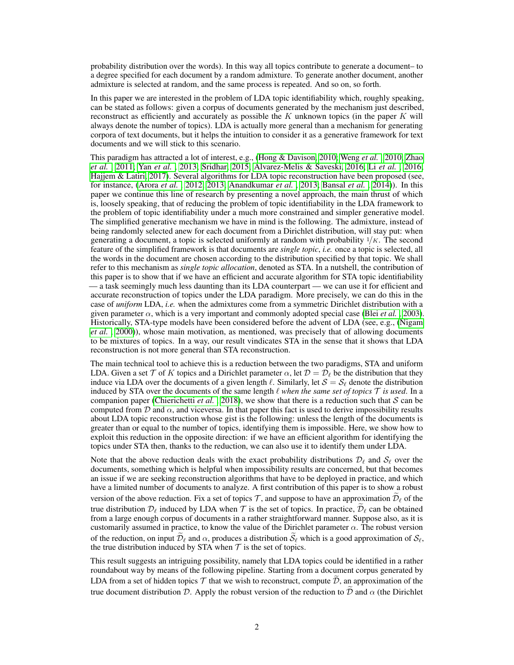probability distribution over the words). In this way all topics contribute to generate a document– to a degree specified for each document by a random admixture. To generate another document, another admixture is selected at random, and the same process is repeated. And so on, so forth.

In this paper we are interested in the problem of LDA topic identifiability which, roughly speaking, can be stated as follows: given a corpus of documents generated by the mechanism just described, reconstruct as efficiently and accurately as possible the  $K$  unknown topics (in the paper  $K$  will always denote the number of topics). LDA is actually more general than a mechanism for generating corpora of text documents, but it helps the intuition to consider it as a generative framework for text documents and we will stick to this scenario.

This paradigm has attracted a lot of interest, e.g., (Hong & Davison, 2010; Weng *et al.* , 2010; Zhao *et al.* , 2011; Yan *et al.* , 2013; Sridhar, 2015; Alvarez-Melis & Saveski, 2016; Li *et al.* , 2016; Hajjem & Latiri, 2017). Several algorithms for LDA topic reconstruction have been proposed (see, for instance, (Arora *et al.* , 2012, 2013; Anandkumar *et al.* , 2013; Bansal *et al.* , 2014)). In this paper we continue this line of research by presenting a novel approach, the main thrust of which is, loosely speaking, that of reducing the problem of topic identifiability in the LDA framework to the problem of topic identifiability under a much more constrained and simpler generative model. The simplified generative mechanism we have in mind is the following. The admixture, instead of being randomly selected anew for each document from a Dirichlet distribution, will stay put: when generating a document, a topic is selected uniformly at random with probability  $1/K$ . The second feature of the simplified framework is that documents are *single topic*, *i.e.* once a topic is selected, all the words in the document are chosen according to the distribution specified by that topic. We shall refer to this mechanism as *single topic allocation*, denoted as STA. In a nutshell, the contribution of this paper is to show that if we have an efficient and accurate algorithm for STA topic identifiability — a task seemingly much less daunting than its LDA counterpart — we can use it for efficient and accurate reconstruction of topics under the LDA paradigm. More precisely, we can do this in the case of *uniform* LDA, *i.e.* when the admixtures come from a symmetric Dirichlet distribution with a given parameter  $\alpha$ , which is a very important and commonly adopted special case (Blei *et al.*, 2003). Historically, STA-type models have been considered before the advent of LDA (see, e.g., (Nigam *et al.* , 2000)), whose main motivation, as mentioned, was precisely that of allowing documents to be mixtures of topics. In a way, our result vindicates STA in the sense that it shows that LDA reconstruction is not more general than STA reconstruction.

The main technical tool to achieve this is a reduction between the two paradigms, STA and uniform LDA. Given a set T of K topics and a Dirichlet parameter  $\alpha$ , let  $\mathcal{D} = \mathcal{D}_{\ell}$  be the distribution that they induce via LDA over the documents of a given length  $\ell$ . Similarly, let  $S = S_\ell$  denote the distribution induced by STA over the documents of the same length  $\ell$  *when the same set of topics*  $\mathcal T$  *is used*. In a companion paper (Chierichetti *et al.*, 2018), we show that there is a reduction such that  $S$  can be computed from D and  $\alpha$ , and viceversa. In that paper this fact is used to derive impossibility results about LDA topic reconstruction whose gist is the following: unless the length of the documents is greater than or equal to the number of topics, identifying them is impossible. Here, we show how to exploit this reduction in the opposite direction: if we have an efficient algorithm for identifying the topics under STA then, thanks to the reduction, we can also use it to identify them under LDA.

Note that the above reduction deals with the exact probability distributions  $\mathcal{D}_\ell$  and  $\mathcal{S}_\ell$  over the documents, something which is helpful when impossibility results are concerned, but that becomes an issue if we are seeking reconstruction algorithms that have to be deployed in practice, and which have a limited number of documents to analyze. A first contribution of this paper is to show a robust version of the above reduction. Fix a set of topics  $\mathcal{T}$ , and suppose to have an approximation  $\mathcal{D}_\ell$  of the true distribution  $\mathcal{D}_\ell$  induced by LDA when  $\mathcal T$  is the set of topics. In practice,  $\tilde{\mathcal{D}}_\ell$  can be obtained from a large enough corpus of documents in a rather straightforward manner. Suppose also, as it is customarily assumed in practice, to know the value of the Dirichlet parameter  $\alpha$ . The robust version of the reduction, on input  $\widetilde{\mathcal{D}}_\ell$  and  $\alpha$ , produces a distribution  $\widetilde{\mathcal{S}}_\ell$  which is a good approximation of  $\mathcal{S}_\ell$ , the true distribution induced by STA when  $T$  is the set of topics.

This result suggests an intriguing possibility, namely that LDA topics could be identified in a rather roundabout way by means of the following pipeline. Starting from a document corpus generated by LDA from a set of hidden topics  $\mathcal T$  that we wish to reconstruct, compute  $\tilde{\mathcal D}$ , an approximation of the true document distribution D. Apply the robust version of the reduction to  $\tilde{\mathcal{D}}$  and  $\alpha$  (the Dirichlet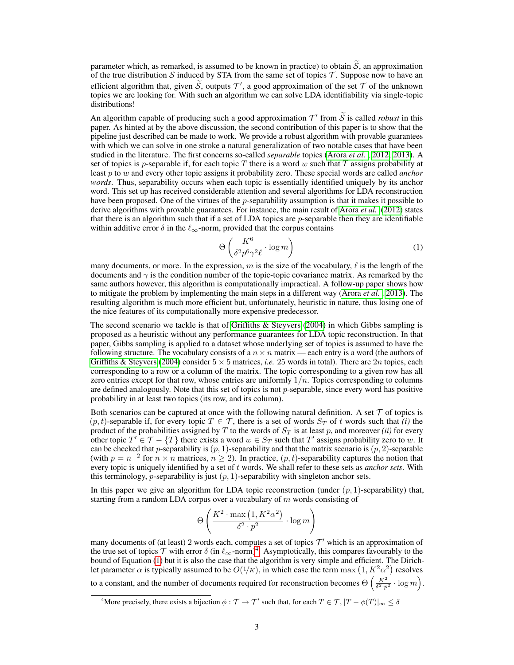parameter which, as remarked, is assumed to be known in practice) to obtain  $\tilde{S}$ , an approximation of the true distribution S induced by STA from the same set of topics  $\mathcal T$ . Suppose now to have an efficient algorithm that, given  $\tilde{S}$ , outputs  $T'$ , a good approximation of the set  $T$  of the unknown topics we are looking for. With such an algorithm we can solve LDA identifiability via single-topic distributions!

An algorithm capable of producing such a good approximation  $\mathcal{T}'$  from  $\widetilde{S}$  is called *robust* in this paper. As hinted at by the above discussion, the second contribution of this paper is to show that the pipeline just described can be made to work. We provide a robust algorithm with provable guarantees with which we can solve in one stroke a natural generalization of two notable cases that have been studied in the literature. The first concerns so-called *separable* topics (Arora *et al.* , 2012, 2013). A set of topics is p-separable if, for each topic T there is a word w such that T assigns probability at least p to w and every other topic assigns it probability zero. These special words are called *anchor words*. Thus, separability occurs when each topic is essentially identified uniquely by its anchor word. This set up has received considerable attention and several algorithms for LDA reconstruction have been proposed. One of the virtues of the p-separability assumption is that it makes it possible to derive algorithms with provable guarantees. For instance, the main result of Arora *et al.* (2012) states that there is an algorithm such that if a set of LDA topics are  $p$ -separable then they are identifiable within additive error  $\delta$  in the  $\ell_{\infty}$ -norm, provided that the corpus contains

$$
\Theta\left(\frac{K^6}{\delta^2 p^6 \gamma^2 \ell} \cdot \log m\right) \tag{1}
$$

many documents, or more. In the expression, m is the size of the vocabulary,  $\ell$  is the length of the documents and  $\gamma$  is the condition number of the topic-topic covariance matrix. As remarked by the same authors however, this algorithm is computationally impractical. A follow-up paper shows how to mitigate the problem by implementing the main steps in a different way (Arora *et al.* , 2013). The resulting algorithm is much more efficient but, unfortunately, heuristic in nature, thus losing one of the nice features of its computationally more expensive predecessor.

The second scenario we tackle is that of Griffiths & Steyvers (2004) in which Gibbs sampling is proposed as a heuristic without any performance guarantees for LDA topic reconstruction. In that paper, Gibbs sampling is applied to a dataset whose underlying set of topics is assumed to have the following structure. The vocabulary consists of a  $n \times n$  matrix — each entry is a word (the authors of Griffiths & Steyvers (2004) consider  $5 \times 5$  matrices, *i.e.* 25 words in total). There are 2*n* topics, each corresponding to a row or a column of the matrix. The topic corresponding to a given row has all zero entries except for that row, whose entries are uniformly  $1/n$ . Topics corresponding to columns are defined analogously. Note that this set of topics is not  $p$ -separable, since every word has positive probability in at least two topics (its row, and its column).

Both scenarios can be captured at once with the following natural definition. A set  $\mathcal T$  of topics is  $(p, t)$ -separable if, for every topic  $T \in \mathcal{T}$ , there is a set of words  $S_T$  of t words such that *(i)* the product of the probabilities assigned by  $T$  to the words of  $S_T$  is at least  $p$ , and moreover *(ii)* for every other topic  $T' \in \mathcal{T} - \{T\}$  there exists a word  $w \in S_T$  such that  $T'$  assigns probability zero to w. It can be checked that p-separability is  $(p, 1)$ -separability and that the matrix scenario is  $(p, 2)$ -separable (with  $p = n^{-2}$  for  $n \times n$  matrices,  $n \ge 2$ ). In practice,  $(p, t)$ -separability captures the notion that every topic is uniquely identified by a set of t words. We shall refer to these sets as *anchor sets*. With this terminology, p-separability is just  $(p, 1)$ -separability with singleton anchor sets.

In this paper we give an algorithm for LDA topic reconstruction (under  $(p, 1)$ -separability) that, starting from a random LDA corpus over a vocabulary of  $m$  words consisting of

$$
\Theta\left(\frac{K^2 \cdot \max\left(1, K^2 \alpha^2\right)}{\delta^2 \cdot p^2} \cdot \log m\right)
$$

many documents of (at least) 2 words each, computes a set of topics  $\mathcal{T}'$  which is an approximation of the true set of topics T with error  $\delta$  (in  $\ell_{\infty}$ -norm)<sup>4</sup>. Asymptotically, this compares favourably to the bound of Equation (1) but it is also the case that the algorithm is very simple and efficient. The Dirichlet parameter  $\alpha$  is typically assumed to be  $O(1/K)$ , in which case the term  $\max(1, K^2 \alpha^2)$  resolves

to a constant, and the number of documents required for reconstruction becomes  $\Theta\left(\frac{K^2}{\delta^2 \cdot p^2} \cdot \log m\right)$ .

<sup>&</sup>lt;sup>4</sup>More precisely, there exists a bijection  $\phi : \mathcal{T} \to \mathcal{T}'$  such that, for each  $T \in \mathcal{T}$ ,  $|T - \phi(T)|_{\infty} \le \delta$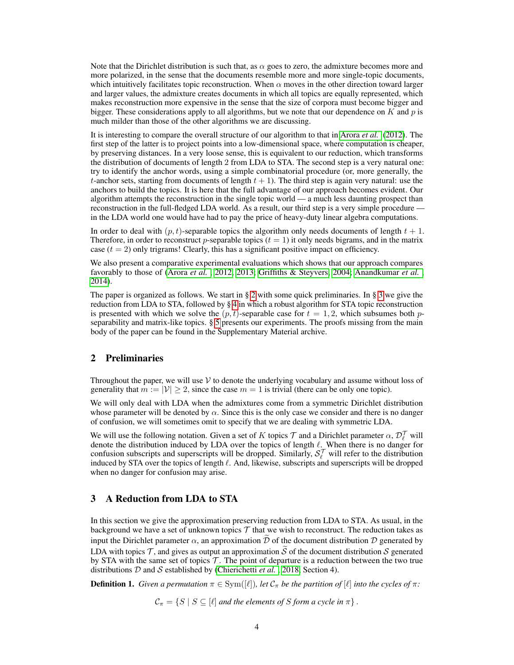Note that the Dirichlet distribution is such that, as  $\alpha$  goes to zero, the admixture becomes more and more polarized, in the sense that the documents resemble more and more single-topic documents, which intuitively facilitates topic reconstruction. When  $\alpha$  moves in the other direction toward larger and larger values, the admixture creates documents in which all topics are equally represented, which makes reconstruction more expensive in the sense that the size of corpora must become bigger and bigger. These considerations apply to all algorithms, but we note that our dependence on  $K$  and  $p$  is much milder than those of the other algorithms we are discussing.

It is interesting to compare the overall structure of our algorithm to that in Arora *et al.* (2012). The first step of the latter is to project points into a low-dimensional space, where computation is cheaper, by preserving distances. In a very loose sense, this is equivalent to our reduction, which transforms the distribution of documents of length 2 from LDA to STA. The second step is a very natural one: try to identify the anchor words, using a simple combinatorial procedure (or, more generally, the t-anchor sets, starting from documents of length  $t + 1$ ). The third step is again very natural: use the anchors to build the topics. It is here that the full advantage of our approach becomes evident. Our algorithm attempts the reconstruction in the single topic world — a much less daunting prospect than reconstruction in the full-fledged LDA world. As a result, our third step is a very simple procedure in the LDA world one would have had to pay the price of heavy-duty linear algebra computations.

In order to deal with  $(p, t)$ -separable topics the algorithm only needs documents of length  $t + 1$ . Therefore, in order to reconstruct p-separable topics  $(t = 1)$  it only needs bigrams, and in the matrix case  $(t = 2)$  only trigrams! Clearly, this has a significant positive impact on efficiency.

We also present a comparative experimental evaluations which shows that our approach compares favorably to those of (Arora *et al.* , 2012, 2013; Griffiths & Steyvers, 2004; Anandkumar *et al.* , 2014).

The paper is organized as follows. We start in § 2 with some quick preliminaries. In § 3 we give the reduction from LDA to STA, followed by § 4 in which a robust algorithm for STA topic reconstruction is presented with which we solve the  $(p, t)$ -separable case for  $t = 1, 2$ , which subsumes both pseparability and matrix-like topics. § 5 presents our experiments. The proofs missing from the main body of the paper can be found in the Supplementary Material archive.

# 2 Preliminaries

Throughout the paper, we will use  $\mathcal V$  to denote the underlying vocabulary and assume without loss of generality that  $m := |\mathcal{V}| > 2$ , since the case  $m = 1$  is trivial (there can be only one topic).

We will only deal with LDA when the admixtures come from a symmetric Dirichlet distribution whose parameter will be denoted by  $\alpha$ . Since this is the only case we consider and there is no danger of confusion, we will sometimes omit to specify that we are dealing with symmetric LDA.

We will use the following notation. Given a set of K topics  $\mathcal T$  and a Dirichlet parameter  $\alpha, \mathcal D_\ell^{\mathcal T}$  will denote the distribution induced by LDA over the topics of length  $\ell$ . When there is no danger for confusion subscripts and superscripts will be dropped. Similarly,  $S_\ell^{\mathcal{T}}$  will refer to the distribution induced by STA over the topics of length  $\ell$ . And, likewise, subscripts and superscripts will be dropped when no danger for confusion may arise.

# 3 A Reduction from LDA to STA

In this section we give the approximation preserving reduction from LDA to STA. As usual, in the background we have a set of unknown topics  $\mathcal T$  that we wish to reconstruct. The reduction takes as input the Dirichlet parameter  $\alpha$ , an approximation  $\tilde{\mathcal{D}}$  of the document distribution  $\mathcal{D}$  generated by LDA with topics  $\mathcal T$ , and gives as output an approximation  $\tilde S$  of the document distribution  $S$  generated by STA with the same set of topics  $\mathcal T$ . The point of departure is a reduction between the two true distributions D and S established by (Chierichetti *et al.* , 2018, Section 4).

**Definition 1.** *Given a permutation*  $\pi \in \text{Sym}([\ell])$ *, let*  $C_{\pi}$  *be the partition of*  $[\ell]$  *into the cycles of*  $\pi$ *:* 

 $C_{\pi} = \{ S \mid S \subseteq [\ell] \text{ and the elements of } S \text{ form a cycle in } \pi \}.$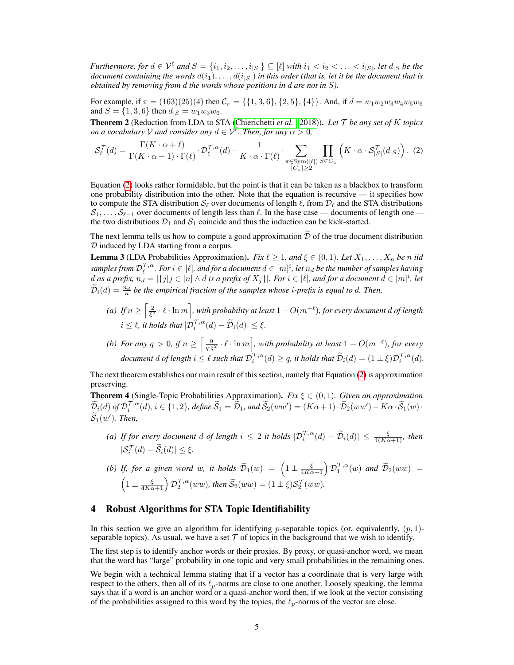*Furthermore, for*  $d \in \mathcal{V}^{\ell}$  and  $S = \{i_1, i_2, \ldots, i_{|S|}\} \subseteq [\ell]$  with  $i_1 < i_2 < \ldots < i_{|S|}$ , let  $d_{|S}$  be the *document containing the words*  $d(i_1), \ldots, d(i_{|S|})$  *in this order (that is, let it be the document that is obtained by removing from* d *the words whose positions in* d *are not in* S*).*

For example, if  $\pi = (163)(25)(4)$  then  $C_{\pi} = \{\{1,3,6\},\{2,5\},\{4\}\}\.$  And, if  $d = w_1w_2w_3w_4w_5w_6$ and  $S = \{1, 3, 6\}$  then  $d_{|S|} = w_1 w_3 w_6$ .

Theorem 2 (Reduction from LDA to STA (Chierichetti *et al.* , 2018)). *Let* T *be any set of* K *topics on a vocabulary*  $V$  *and consider any*  $d \in V^{\ell}$ . Then, for any  $\alpha > 0$ ,

$$
\mathcal{S}_{\ell}^{\mathcal{T}}(d) = \frac{\Gamma(K \cdot \alpha + \ell)}{\Gamma(K \cdot \alpha + 1) \cdot \Gamma(\ell)} \cdot \mathcal{D}_{\ell}^{\mathcal{T}, \alpha}(d) - \frac{1}{K \cdot \alpha \cdot \Gamma(\ell)} \cdot \sum_{\substack{\pi \in \text{Sym}([\ell]) \\ |C_{\pi}| \ge 2}} \prod_{S \in C_{\pi}} \left( K \cdot \alpha \cdot \mathcal{S}_{|S|}^{\mathcal{T}}(d_{|S}) \right). \tag{2}
$$

Equation (2) looks rather formidable, but the point is that it can be taken as a blackbox to transform one probability distribution into the other. Note that the equation is recursive — it specifies how to compute the STA distribution  $S_\ell$  over documents of length  $\ell$ , from  $\mathcal{D}_\ell$  and the STA distributions  $S_1, \ldots, S_{\ell-1}$  over documents of length less than  $\ell$ . In the base case — documents of length one the two distributions  $\mathcal{D}_1$  and  $\mathcal{S}_1$  coincide and thus the induction can be kick-started.

The next lemma tells us how to compute a good approximation  $\tilde{\mathcal{D}}$  of the true document distribution D induced by LDA starting from a corpus.

**Lemma 3** (LDA Probabilities Approximation). *Fix*  $\ell \geq 1$ *, and*  $\xi \in (0,1)$ *. Let*  $X_1, \ldots, X_n$  *be n iid*  $samples from D_\ell^{\mathcal{T}, \alpha}$ *. For*  $i \in [\ell]$ *, and for a document*  $d \in [m]^i$ *, let*  $n_d$  *be the number of samples having*  $d$  as a prefix,  $n_d = |\{j | j \in [n] \land d$  is a prefix of  $X_j\}|$ . For  $i \in [\ell]$ , and for a document  $d \in [m]^i$ , let  $\widetilde{\mathcal{D}}_i(d) = \frac{n_d}{n}$  be the empirical fraction of the samples whose *i*-prefix is equal to d. Then,

- (a) If  $n \geq \left[\frac{2}{\xi^2} \cdot \ell \cdot \ln m\right]$ , with probability at least  $1 O(m^{-\ell})$ , for every document  $d$  of length  $i \leq \ell$ , it holds that  $|\mathcal{D}_i^{\mathcal{T},\alpha}(d) - \widetilde{\mathcal{D}}_i(d)| \leq \xi$ .
- (b) For any  $q > 0$ , if  $n \ge \left[ \frac{9}{q \cdot \xi^2} \cdot \ell \cdot \ln m \right]$ , with probability at least  $1 O(m^{-\ell})$ , for every document d of length  $i \leq \ell$  such that  $\mathcal{D}_i^{\mathcal{T},\alpha}(d) \geq q$ , it holds that  $\widetilde{\mathcal{D}}_i(d) = (1 \pm \xi)\mathcal{D}_i^{\mathcal{T},\alpha}(d)$ .

The next theorem establishes our main result of this section, namely that Equation (2) is approximation preserving.

**Theorem 4** (Single-Topic Probabilities Approximation). *Fix*  $\xi \in (0,1)$ . *Given an approximation*  $\widetilde{\mathcal{D}}_i(d)$  *of*  $\mathcal{D}_i^{\mathcal{T},\alpha}(d)$ *, i*  $\in \{1,2\}$ *, define*  $\widetilde{\mathcal{S}}_1 = \widetilde{\mathcal{D}}_1$ *, and*  $\widetilde{\mathcal{S}}_2(ww') = (K\alpha+1) \cdot \widetilde{\mathcal{D}}_2(ww') - K\alpha \cdot \widetilde{\mathcal{S}}_1(w) \cdot$  $\widetilde{\mathcal{S}}_1(w')$ . Then,

(a) If for every document d of length  $i \leq 2$  it holds  $|\mathcal{D}_i^{\mathcal{T},\alpha}(d) - \widetilde{\mathcal{D}}_i(d)| \leq \frac{\xi}{4(K\alpha+1)}$ , then  $|\mathcal{S}_i^{\mathcal{T}}(d) - \widetilde{\mathcal{S}}_i(d)| \leq \xi.$ 

*(b) If, for a given word* w, it holds  $\widetilde{\mathcal{D}}_1(w) = \left(1 \pm \frac{\xi}{4K\alpha+1}\right) \mathcal{D}_1^{\mathcal{T},\alpha}(w)$  and  $\widetilde{\mathcal{D}}_2(ww) =$  $\left(1 \pm \frac{\xi}{4K\alpha+1}\right) \mathcal{D}_2^{\mathcal{T},\alpha}(ww),$  then  $\widetilde{\mathcal{S}}_2(ww)=(1 \pm \xi)\mathcal{S}_2^{\mathcal{T}}(ww).$ 

# 4 Robust Algorithms for STA Topic Identifiability

In this section we give an algorithm for identifying *p*-separable topics (or, equivalently,  $(p, 1)$ separable topics). As usual, we have a set  $\mathcal T$  of topics in the background that we wish to identify.

The first step is to identify anchor words or their proxies. By proxy, or quasi-anchor word, we mean that the word has "large" probability in one topic and very small probabilities in the remaining ones.

We begin with a technical lemma stating that if a vector has a coordinate that is very large with respect to the others, then all of its  $\ell_p$ -norms are close to one another. Loosely speaking, the lemma says that if a word is an anchor word or a quasi-anchor word then, if we look at the vector consisting of the probabilities assigned to this word by the topics, the  $\ell_p$ -norms of the vector are close.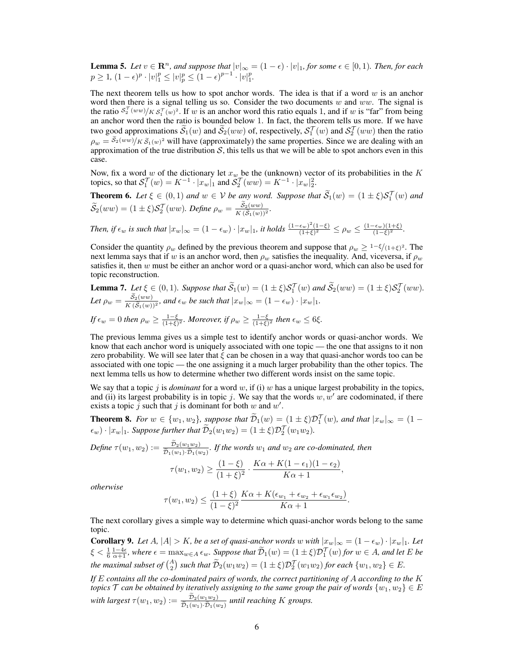**Lemma 5.** Let  $v \in \mathbb{R}^n$ , and suppose that  $|v|_{\infty} = (1 - \epsilon) \cdot |v|_1$ , for some  $\epsilon \in [0, 1)$ . Then, for each  $p \geq 1, (1 - \epsilon)^p \cdot |v|_1^p \leq |v|_p^p \leq (1 - \epsilon)^{p-1} \cdot |v|_1^p.$ 

The next theorem tells us how to spot anchor words. The idea is that if a word  $w$  is an anchor word then there is a signal telling us so. Consider the two documents  $w$  and  $ww$ . The signal is the ratio  $s_2^{\tau}(ww)/K s_1^{\tau}(w)^2$ . If w is an anchor word this ratio equals 1, and if w is "far" from being an anchor word then the ratio is bounded below 1. In fact, the theorem tells us more. If we have two good approximations  $\tilde{S}_1(w)$  and  $\tilde{S}_2(ww)$  of, respectively,  $S_1^T(w)$  and  $S_2^T(ww)$  then the ratio  $\rho_w = s_2(ww)/K \tilde{s}_1(w)^2$  will have (approximately) the same properties. Since we are dealing with an approximation of the true distribution  $S$ , this tells us that we will be able to spot anchors even in this case.

Now, fix a word w of the dictionary let  $x_w$  be the (unknown) vector of its probabilities in the K topics, so that  $S_1^{\mathcal{T}}(w) = K^{-1} \cdot |x_w|_1$  and  $S_2^{\mathcal{T}}(ww) = K^{-1} \cdot |x_w|_2^2$ .

**Theorem 6.** Let  $\xi \in (0,1)$  and  $w \in V$  be any word. Suppose that  $\widetilde{S}_1(w) = (1 \pm \xi) S_1^T(w)$  and  $\widetilde{S}_2(w)$  $\widetilde{\mathcal{S}}_2(ww)=(1\pm\xi)\mathcal{S}_2^{\mathcal{T}}(ww)$ . Define  $\rho_w=\frac{\mathcal{S}_2(ww)}{K(\widetilde{\mathcal{S}}_1(w))}$  $\frac{\mathcal{S}_2(ww)}{K(\widetilde{\mathcal{S}}_1(w))^2}$ .

Then, if 
$$
\epsilon_w
$$
 is such that  $|x_w|_{\infty} = (1 - \epsilon_w) \cdot |x_w|_1$ , it holds  $\frac{(1 - \epsilon_w)^2 (1 - \xi)}{(1 + \xi)^2} \le \rho_w \le \frac{(1 - \epsilon_w)(1 + \xi)}{(1 - \xi)^2}$ .

Consider the quantity  $\rho_w$  defined by the previous theorem and suppose that  $\rho_w \geq 1-\frac{\xi}{(1+\xi)^2}$ . The next lemma says that if w is an anchor word, then  $\rho_w$  satisfies the inequality. And, viceversa, if  $\rho_w$ satisfies it, then  $w$  must be either an anchor word or a quasi-anchor word, which can also be used for topic reconstruction.

**Lemma 7.** Let 
$$
\xi \in (0, 1)
$$
. Suppose that  $\widetilde{S}_1(w) = (1 \pm \xi) S_1^T(w)$  and  $\widetilde{S}_2(ww) = (1 \pm \xi) S_2^T(ww)$ .  
Let  $\rho_w = \frac{\widetilde{S}_2(ww)}{K(\widetilde{S}_1(w))^2}$ , and  $\epsilon_w$  be such that  $|x_w|_{\infty} = (1 - \epsilon_w) \cdot |x_w|_1$ .  
If  $\epsilon_w = 0$  then  $\rho_w \ge \frac{1 - \xi}{(1 + \xi)^2}$ . Moreover, if  $\rho_w \ge \frac{1 - \xi}{(1 + \xi)^2}$  then  $\epsilon_w \le 6\xi$ .

The previous lemma gives us a simple test to identify anchor words or quasi-anchor words. We know that each anchor word is uniquely associated with one topic — the one that assigns to it non zero probability. We will see later that  $\xi$  can be chosen in a way that quasi-anchor words too can be associated with one topic — the one assigning it a much larger probability than the other topics. The next lemma tells us how to determine whether two different words insist on the same topic.

We say that a topic j is *dominant* for a word w, if (i) w has a unique largest probability in the topics, and (ii) its largest probability is in topic j. We say that the words  $w, w'$  are codominated, if there exists a topic  $\tilde{j}$  such that  $j$  is dominant for both  $w$  and  $w'$ .

**Theorem 8.** *For*  $w \in \{w_1, w_2\}$ , suppose that  $\tilde{\mathcal{D}}_1(w) = (1 \pm \xi) \mathcal{D}_1^T(w)$ , and that  $|x_w|_{\infty} = (1 - \xi) \mathcal{D}_2^T(w)$  $(\epsilon_w) \cdot |x_w|_1$ . Suppose further that  $\widetilde{\mathcal{D}}_2(w_1w_2) = (1 \pm \xi)\mathcal{D}_2^{\mathcal{T}}(w_1w_2)$ .

Define 
$$
\tau(w_1, w_2) := \frac{\tilde{\mathcal{D}}_2(w_1 w_2)}{\tilde{\mathcal{D}}_1(w_1) \cdot \tilde{\mathcal{D}}_1(w_2)}
$$
. If the words  $w_1$  and  $w_2$  are co-dominated, then  
\n
$$
\tau(w_1, w_2) \ge \frac{(1 - \xi)}{(1 + \xi)^2} \cdot \frac{K\alpha + K(1 - \epsilon_1)(1 - \epsilon_2)}{K\alpha + 1},
$$

*otherwise*

$$
\tau(w_1, w_2) \leq \frac{(1+\xi)}{(1-\xi)^2} \frac{K\alpha + K(\epsilon_{w_1} + \epsilon_{w_2} + \epsilon_{w_1}\epsilon_{w_2})}{K\alpha + 1}.
$$

The next corollary gives a simple way to determine which quasi-anchor words belong to the same topic.

**Corollary 9.** Let A,  $|A| > K$ , be a set of quasi-anchor words w with  $|x_w|_{\infty} = (1 - \epsilon_w) \cdot |x_w|_1$ . Let  $\xi < \frac{1}{6} \frac{1-4\epsilon}{\alpha+1}$ , where  $\epsilon = \max_{w \in A} \epsilon_w$ . Suppose that  $\widetilde{\mathcal{D}}_1(w) = (1 \pm \xi) \mathcal{D}_1^{\mathcal{T}}(w)$  for  $w \in A$ , and let  $E$  be *the maximal subset of*  $\binom{A}{2}$  *such that*  $\widetilde{D}_2(w_1w_2) = (1 \pm \xi)\mathcal{D}_2^T(w_1w_2)$  *for each*  $\{w_1, w_2\} \in E$ *.* 

*If* E *contains all the co-dominated pairs of words, the correct partitioning of* A *according to the* K *topics*  $\mathcal T$  *can be obtained by iteratively assigning to the same group the pair of words*  $\{w_1, w_2\} \in E$ with largest  $\tau(w_1, w_2) := \frac{\mathcal{D}_2(w_1w_2)}{\widetilde{\mathcal{D}}_1(w_1) \cdot \widetilde{\mathcal{D}}_1(w_2)}$  until reaching K groups.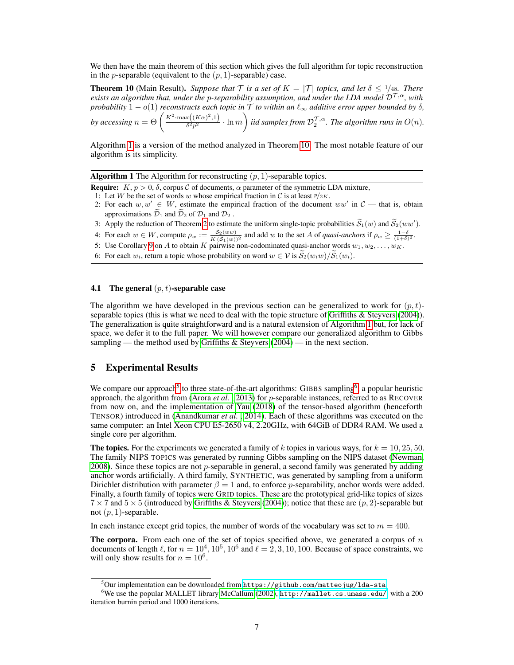We then have the main theorem of this section which gives the full algorithm for topic reconstruction in the *p*-separable (equivalent to the  $(p, 1)$ -separable) case.

**Theorem 10** (Main Result). *Suppose that*  $\mathcal{T}$  *is a set of*  $K = |\mathcal{T}|$  *topics, and let*  $\delta \leq 1/48$ *. There exists an algorithm that, under the p-separability assumption, and under the LDA model*  $\mathcal{D}^{\mathcal{T},\alpha}$ *, with probability*  $1 - o(1)$  *reconstructs each topic in*  $\overline{T}$  *to within an*  $\ell_{\infty}$  *additive error upper bounded by*  $\delta$ *, by accessing*  $n = \Theta\left(\frac{K^2 \cdot \max\left((K\alpha)^2, 1\right)}{\delta^2 n^2}\right)$  $\frac{x((Ka)^2,1)}{3^2p^2} \cdot \ln m$  iid samples from  $\mathcal{D}_2^{\mathcal{T},\alpha}$ . The algorithm runs in  $O(n)$ .

Algorithm 1 is a version of the method analyzed in Theorem 10. The most notable feature of our algorithm is its simplicity.

**Algorithm 1** The Algorithm for reconstructing  $(p, 1)$ -separable topics.

- **Require:**  $K, p > 0, \delta$ , corpus C of documents,  $\alpha$  parameter of the symmetric LDA mixture,
- 1: Let W be the set of words w whose empirical fraction in C is at least  $\frac{p}{2K}$ .
- 2: For each  $w, w' \in W$ , estimate the empirical fraction of the document  $ww'$  in  $\mathcal{C}$  that is, obtain approximations  $\widetilde{\mathcal{D}}_1$  and  $\widetilde{\mathcal{D}}_2$  of  $\mathcal{D}_1$  and  $\mathcal{D}_2$ .
- 3: Apply the reduction of Theorem 2 to estimate the uniform single-topic probabilities  $\widetilde{\mathcal{S}}_1(w)$  and  $\widetilde{\mathcal{S}}_2(ww')$ .
- 4: For each  $w \in W$ , compute  $\rho_w := \frac{S_2(ww)}{K(\bar{S}_1(w))^2}$  and add w to the set A of *quasi-anchors* if  $\rho_w \ge \frac{1-\delta}{(1+\delta)^2}$ .
- 5: Use Corollary 9 on A to obtain K pairwise non-codominated quasi-anchor words  $w_1, w_2, \ldots, w_K$ .
- 6: For each  $w_i$ , return a topic whose probability on word  $w \in V$  is  $\mathcal{S}_2(w_iw)/\mathcal{S}_1(w_i)$ .

#### 4.1 The general  $(p, t)$ -separable case

The algorithm we have developed in the previous section can be generalized to work for  $(p, t)$ separable topics (this is what we need to deal with the topic structure of Griffiths & Steyvers (2004)). The generalization is quite straightforward and is a natural extension of Algorithm 1 but, for lack of space, we defer it to the full paper. We will however compare our generalized algorithm to Gibbs sampling — the method used by Griffiths  $&$  Steyvers (2004) — in the next section.

#### 5 Experimental Results

We compare our approach<sup>5</sup> to three state-of-the-art algorithms: GIBBS sampling<sup>6</sup>, a popular heuristic approach, the algorithm from (Arora *et al.*, 2013) for p-separable instances, referred to as RECOVER from now on, and the implementation of Yau (2018) of the tensor-based algorithm (henceforth TENSOR) introduced in (Anandkumar *et al.* , 2014). Each of these algorithms was executed on the same computer: an Intel Xeon CPU E5-2650 v4, 2.20GHz, with 64GiB of DDR4 RAM. We used a single core per algorithm.

The topics. For the experiments we generated a family of k topics in various ways, for  $k = 10, 25, 50$ . The family NIPS TOPICS was generated by running Gibbs sampling on the NIPS dataset (Newman, 2008). Since these topics are not  $p$ -separable in general, a second family was generated by adding anchor words artificially. A third family, SYNTHETIC, was generated by sampling from a uniform Dirichlet distribution with parameter  $\beta = 1$  and, to enforce p-separability, anchor words were added. Finally, a fourth family of topics were GRID topics. These are the prototypical grid-like topics of sizes  $7 \times 7$  and  $5 \times 5$  (introduced by Griffiths & Steyvers (2004)); notice that these are  $(p, 2)$ -separable but not  $(p, 1)$ -separable.

In each instance except grid topics, the number of words of the vocabulary was set to  $m = 400$ .

**The corpora.** From each one of the set of topics specified above, we generated a corpus of  $n$ documents of length  $\ell$ , for  $n = 10^4, 10^5, 10^6$  and  $\ell = 2, 3, 10, 100$ . Because of space constraints, we will only show results for  $n = 10^6$ .

 $5$ Our implementation can be downloaded from <https://github.com/matteojug/lda-sta>.

 $6$ We use the popular MALLET library McCallum (2002), <http://mallet.cs.umass.edu/>, with a 200 iteration burnin period and 1000 iterations.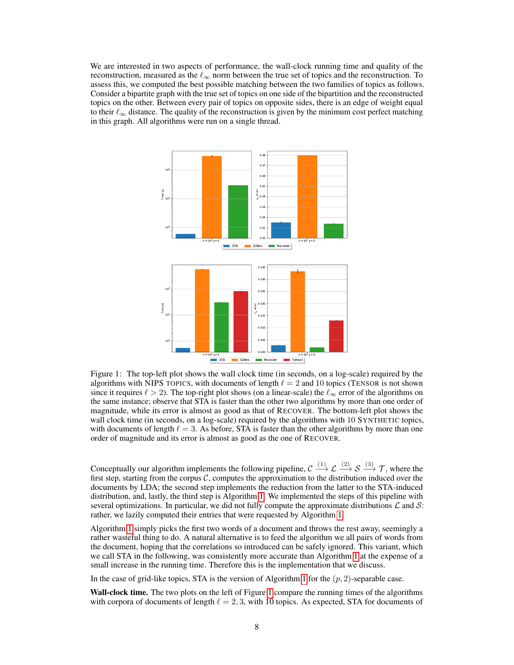We are interested in two aspects of performance, the wall-clock running time and quality of the reconstruction, measured as the  $\ell_{\infty}$  norm between the true set of topics and the reconstruction. To assess this, we computed the best possible matching between the two families of topics as follows. Consider a bipartite graph with the true set of topics on one side of the bipartition and the reconstructed topics on the other. Between every pair of topics on opposite sides, there is an edge of weight equal to their  $\ell_{\infty}$  distance. The quality of the reconstruction is given by the minimum cost perfect matching in this graph. All algorithms were run on a single thread.



Figure 1: The top-left plot shows the wall clock time (in seconds, on a log-scale) required by the algorithms with NIPS TOPICS, with documents of length  $\ell = 2$  and 10 topics (TENSOR is not shown since it requires  $\ell > 2$ ). The top-right plot shows (on a linear-scale) the  $\ell_{\infty}$  error of the algorithms on the same instance; observe that STA is faster than the other two algorithms by more than one order of magnitude, while its error is almost as good as that of RECOVER. The bottom-left plot shows the wall clock time (in seconds, on a log-scale) required by the algorithms with 10 SYNTHETIC topics, with documents of length  $\ell = 3$ . As before, STA is faster than the other algorithms by more than one order of magnitude and its error is almost as good as the one of RECOVER.

Conceptually our algorithm implements the following pipeline,  $\mathcal{C} \xrightarrow{(1)} \mathcal{L} \xrightarrow{(2)} \mathcal{S} \xrightarrow{(3)} \mathcal{T}$ , where the first step, starting from the corpus  $C$ , computes the approximation to the distribution induced over the documents by LDA; the second step implements the reduction from the latter to the STA-induced distribution, and, lastly, the third step is Algorithm 1. We implemented the steps of this pipeline with several optimizations. In particular, we did not fully compute the approximate distributions  $\mathcal L$  and  $\mathcal S$ : rather, we lazily computed their entries that were requested by Algorithm 1.

Algorithm 1 simply picks the first two words of a document and throws the rest away, seemingly a rather wasteful thing to do. A natural alternative is to feed the algorithm we all pairs of words from the document, hoping that the correlations so introduced can be safely ignored. This variant, which we call STA in the following, was consistently more accurate than Algorithm 1 at the expense of a small increase in the running time. Therefore this is the implementation that we discuss.

In the case of grid-like topics, STA is the version of Algorithm 1 for the  $(p, 2)$ -separable case.

Wall-clock time. The two plots on the left of Figure 1 compare the running times of the algorithms with corpora of documents of length  $\ell = 2, 3$ , with 10 topics. As expected, STA for documents of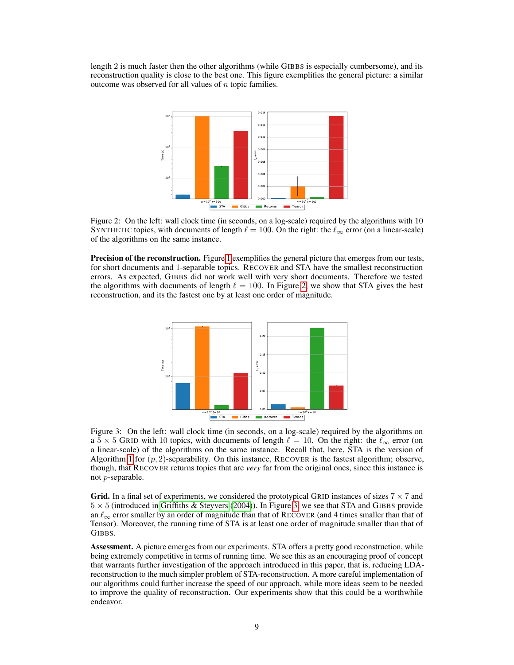length 2 is much faster then the other algorithms (while GIBBS is especially cumbersome), and its reconstruction quality is close to the best one. This figure exemplifies the general picture: a similar outcome was observed for all values of  $n$  topic families.



Figure 2: On the left: wall clock time (in seconds, on a log-scale) required by the algorithms with 10 SYNTHETIC topics, with documents of length  $\ell = 100$ . On the right: the  $\ell_{\infty}$  error (on a linear-scale) of the algorithms on the same instance.

Precision of the reconstruction. Figure 1 exemplifies the general picture that emerges from our tests, for short documents and 1-separable topics. RECOVER and STA have the smallest reconstruction errors. As expected, GIBBS did not work well with very short documents. Therefore we tested the algorithms with documents of length  $\ell = 100$ . In Figure 2, we show that STA gives the best reconstruction, and its the fastest one by at least one order of magnitude.



Figure 3: On the left: wall clock time (in seconds, on a log-scale) required by the algorithms on a 5  $\times$  5 GRID with 10 topics, with documents of length  $\ell = 10$ . On the right: the  $\ell_{\infty}$  error (on a linear-scale) of the algorithms on the same instance. Recall that, here, STA is the version of Algorithm 1 for  $(p, 2)$ -separability. On this instance, RECOVER is the fastest algorithm; observe, though, that RECOVER returns topics that are *very* far from the original ones, since this instance is not p-separable.

**Grid.** In a final set of experiments, we considered the prototypical GRID instances of sizes  $7 \times 7$  and  $5 \times 5$  (introduced in Griffiths & Steyvers (2004)). In Figure 3, we see that STA and GIBBS provide an  $\ell_{\infty}$  error smaller by an order of magnitude than that of RECOVER (and 4 times smaller than that of Tensor). Moreover, the running time of STA is at least one order of magnitude smaller than that of GIBBS.

Assessment. A picture emerges from our experiments. STA offers a pretty good reconstruction, while being extremely competitive in terms of running time. We see this as an encouraging proof of concept that warrants further investigation of the approach introduced in this paper, that is, reducing LDAreconstruction to the much simpler problem of STA-reconstruction. A more careful implementation of our algorithms could further increase the speed of our approach, while more ideas seem to be needed to improve the quality of reconstruction. Our experiments show that this could be a worthwhile endeavor.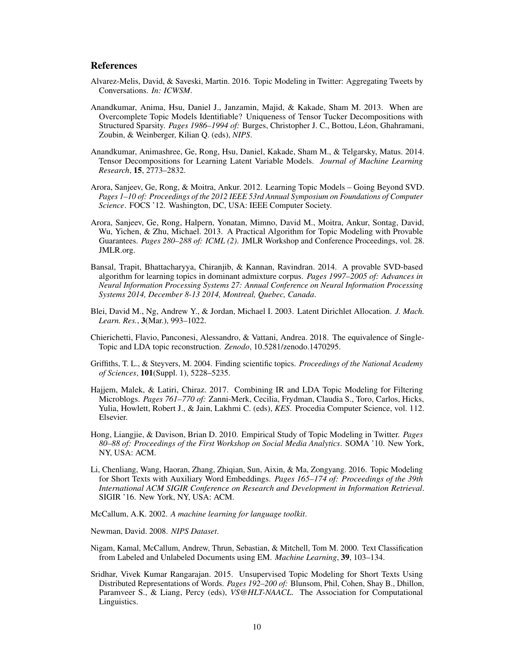#### References

- Alvarez-Melis, David, & Saveski, Martin. 2016. Topic Modeling in Twitter: Aggregating Tweets by Conversations. *In: ICWSM*.
- Anandkumar, Anima, Hsu, Daniel J., Janzamin, Majid, & Kakade, Sham M. 2013. When are Overcomplete Topic Models Identifiable? Uniqueness of Tensor Tucker Decompositions with Structured Sparsity. *Pages 1986–1994 of:* Burges, Christopher J. C., Bottou, Léon, Ghahramani, Zoubin, & Weinberger, Kilian Q. (eds), *NIPS*.
- Anandkumar, Animashree, Ge, Rong, Hsu, Daniel, Kakade, Sham M., & Telgarsky, Matus. 2014. Tensor Decompositions for Learning Latent Variable Models. *Journal of Machine Learning Research*, 15, 2773–2832.
- Arora, Sanjeev, Ge, Rong, & Moitra, Ankur. 2012. Learning Topic Models Going Beyond SVD. *Pages 1–10 of: Proceedings of the 2012 IEEE 53rd Annual Symposium on Foundations of Computer Science*. FOCS '12. Washington, DC, USA: IEEE Computer Society.
- Arora, Sanjeev, Ge, Rong, Halpern, Yonatan, Mimno, David M., Moitra, Ankur, Sontag, David, Wu, Yichen, & Zhu, Michael. 2013. A Practical Algorithm for Topic Modeling with Provable Guarantees. *Pages 280–288 of: ICML (2)*. JMLR Workshop and Conference Proceedings, vol. 28. JMLR.org.
- Bansal, Trapit, Bhattacharyya, Chiranjib, & Kannan, Ravindran. 2014. A provable SVD-based algorithm for learning topics in dominant admixture corpus. *Pages 1997–2005 of: Advances in Neural Information Processing Systems 27: Annual Conference on Neural Information Processing Systems 2014, December 8-13 2014, Montreal, Quebec, Canada*.
- Blei, David M., Ng, Andrew Y., & Jordan, Michael I. 2003. Latent Dirichlet Allocation. *J. Mach. Learn. Res.*, 3(Mar.), 993–1022.
- Chierichetti, Flavio, Panconesi, Alessandro, & Vattani, Andrea. 2018. The equivalence of Single-Topic and LDA topic reconstruction. *Zenodo*, 10.5281/zenodo.1470295.
- Griffiths, T. L., & Steyvers, M. 2004. Finding scientific topics. *Proceedings of the National Academy of Sciences*, 101(Suppl. 1), 5228–5235.
- Hajjem, Malek, & Latiri, Chiraz. 2017. Combining IR and LDA Topic Modeling for Filtering Microblogs. *Pages 761–770 of:* Zanni-Merk, Cecilia, Frydman, Claudia S., Toro, Carlos, Hicks, Yulia, Howlett, Robert J., & Jain, Lakhmi C. (eds), *KES*. Procedia Computer Science, vol. 112. Elsevier.
- Hong, Liangjie, & Davison, Brian D. 2010. Empirical Study of Topic Modeling in Twitter. *Pages 80–88 of: Proceedings of the First Workshop on Social Media Analytics*. SOMA '10. New York, NY, USA: ACM.
- Li, Chenliang, Wang, Haoran, Zhang, Zhiqian, Sun, Aixin, & Ma, Zongyang. 2016. Topic Modeling for Short Texts with Auxiliary Word Embeddings. *Pages 165–174 of: Proceedings of the 39th International ACM SIGIR Conference on Research and Development in Information Retrieval*. SIGIR '16. New York, NY, USA: ACM.

McCallum, A.K. 2002. *A machine learning for language toolkit*.

Newman, David. 2008. *NIPS Dataset*.

- Nigam, Kamal, McCallum, Andrew, Thrun, Sebastian, & Mitchell, Tom M. 2000. Text Classification from Labeled and Unlabeled Documents using EM. *Machine Learning*, 39, 103–134.
- Sridhar, Vivek Kumar Rangarajan. 2015. Unsupervised Topic Modeling for Short Texts Using Distributed Representations of Words. *Pages 192–200 of:* Blunsom, Phil, Cohen, Shay B., Dhillon, Paramveer S., & Liang, Percy (eds), *VS@HLT-NAACL*. The Association for Computational Linguistics.